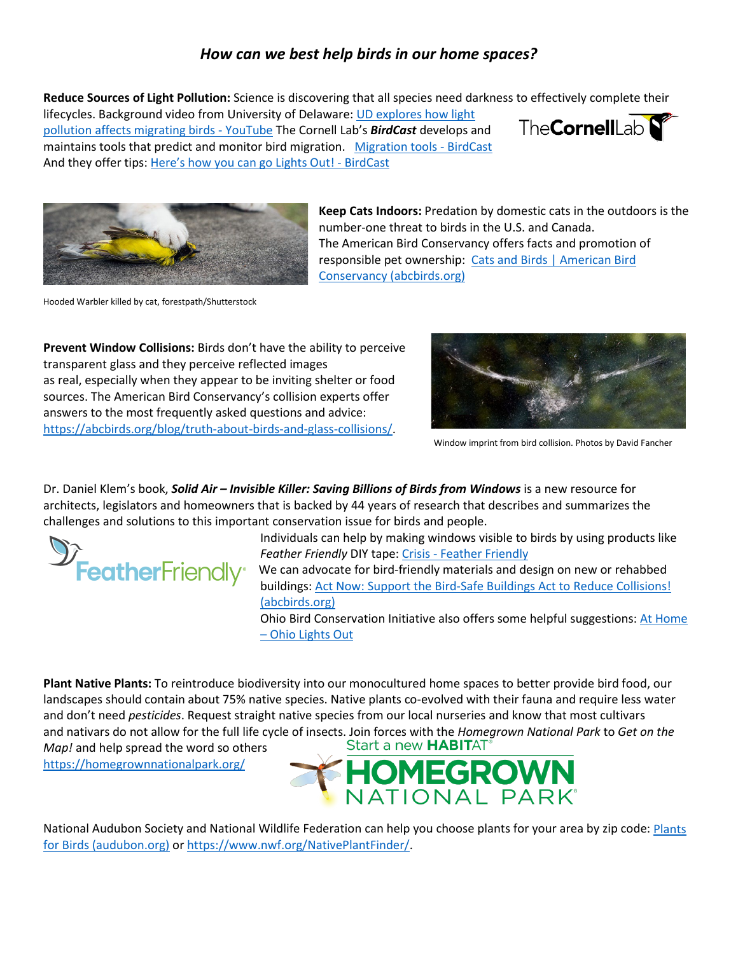## *How can we best help birds in our home spaces?*

**Reduce Sources of Light Pollution:** Science is discovering that all species need darkness to effectively complete their

lifecycles. Background video from University of Delaware[: UD explores how light](https://www.youtube.com/watch?v=9pJlMqCFHj8)  [pollution affects migrating birds -](https://www.youtube.com/watch?v=9pJlMqCFHj8) YouTube The Cornell Lab's *BirdCast* develops and maintains tools that predict and monitor bird migration. [Migration tools -](https://birdcast.info/migration-tools/) BirdCast And they offer tips: [Here's how you can go Lights Out! -](https://birdcast.info/science-to-action/lights-out/heres-how-you-can-make-a-difference/) BirdCast





Hooded Warbler killed by cat, forestpath/Shutterstock

**Prevent Window Collisions:** Birds don't have the ability to perceive transparent glass and they perceive reflected images as real, especially when they appear to be inviting shelter or food sources. The American Bird Conservancy's collision experts offer answers to the most frequently asked questions and advice: [https://abcbirds.org/blog/truth-about-birds-and-glass-collisions/.](https://abcbirds.org/blog/truth-about-birds-and-glass-collisions/)



Window imprint from bird collision. Photos by David Fancher

Dr. Daniel Klem's book, *Solid Air – Invisible Killer: Saving Billions of Birds from Windows* is a new resource for architects, legislators and homeowners that is backed by 44 years of research that describes and summarizes the challenges and solutions to this important conservation issue for birds and people.



Individuals can help by making windows visible to birds by using products like *Feather Friendly* DIY tape: Crisis - [Feather Friendly](https://www.featherfriendly.com/crisis)

We can advocate for bird-friendly materials and design on new or rehabbed buildings: Act Now: Support the Bird-Safe Buildings Act to Reduce Collisions! [\(abcbirds.org\)](https://act.abcbirds.org/a/take-action-bird-safe-buildings)

Ohio Bird Conservation Initiative also offers some helpful suggestions: [At Home](https://ohiolightsout.org/participate/at-home/)  – [Ohio Lights Out](https://ohiolightsout.org/participate/at-home/)

**Plant Native Plants:** To reintroduce biodiversity into our monocultured home spaces to better provide bird food, our landscapes should contain about 75% native species. Native plants co-evolved with their fauna and require less water and don't need *pesticides*. Request straight native species from our local nurseries and know that most cultivars and nativars do not allow for the full life cycle of insects. Join forces with the *Homegrown National Park* to *Get on the Map!* and help spread the word so others

<https://homegrownnationalpark.org/>



National Audubon Society and National Wildlife Federation can help you choose plants for your area by zip code: Plants [for Birds \(audubon.org\)](https://www.audubon.org/PLANTSFORBIRDS) or [https://www.nwf.org/NativePlantFinder/.](https://www.nwf.org/NativePlantFinder/)